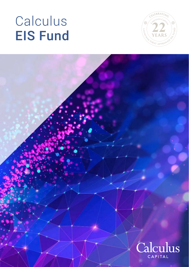# Calculus EIS Fund



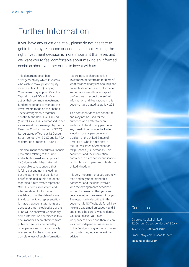# Further Information

If you have any questions at all, please do not hesitate to get in touch by telephone or send us an email. Making the right investment decision is more important than ever, and we want you to feel comfortable about making an informed decision about whether or not to invest with us.

This document describes arrangements by which Investors who wish to make private equity investments in EIS Qualifying Companies may appoint Calculus Capital Limited ("Calculus") to act as their common investment fund manager and to manage the investments made on their behalf. These arrangements together constitute the Calculus EIS Fund ("Fund"). Calculus is authorised to act as an investment manager by the UK Financial Conduct Authority ("FCA"). Its registered office is at 12 Conduit Street, London, W1S 2YZ and its FCA registration number is 190854.

This document constitutes a financial promotion relating to the Fund and is both issued and approved by Calculus which has taken all reasonable care to ensure that it is fair, clear and not misleading, but the statements of opinion or belief contained in this document regarding future events represent Calculus' own assessment and interpretation of information available to it at the date of issue of this document. No representation is made that such statements are correct or that the objectives of the Fund will be achieved. Additionally, some information contained in this document has been obtained from published sources prepared by other parties and no responsibility is assumed for the accuracy or completeness of such information.

Accordingly, each prospective investor must determine for himself what reliance (if any) he should place on such statements and information and no responsibility is accepted by Calculus in respect thereof. All information and illustrations in this document are stated as at July 2021.

This document does not constitute, and may not be used for the purposes of, an offer to or an invitation to treat to any person in any jurisdiction outside the United Kingdom or any person who is a citizen of the United States of America or who is a resident in the United States of America for tax purposes ("US persons"). This document and the information contained in it are not for publication or distribution to persons outside the United Kingdom.

It is very important that you carefully read and fully understand this document and the risks involved with the arrangements described in this document so that you can decide whether they are right for you. The opportunity described in this document is NOT suitable for all. Key risks are explained on pages 4 and 5 and should be carefully considered. You should seek your own independent advice and then rely on your own independent assessment of the Fund; nothing in this document constitutes tax, legal or investment advice.

### Contact us

Calculus Capital Limited 12 Conduit Street, London. W1S 2XH Telephone: 020 7493 4940 Email: info@calculuscapital.com calculuscapital.com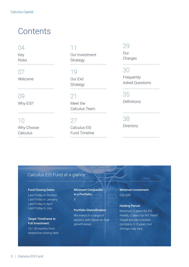# **Contents**

# 04

Key Risks 

# 07 Welcome

09 Why EIS?

10 Why Choose **Calculus** 

# 11

Our Investment Strategy 

19

Our Exit Strategy 

# 21

Meet the Calculus Team 

27 Calculus EIS Fund Timeline 

# 29

Our **Charges** 

# 30

Frequently Asked Questions

35 Definitions

38 **Directory** 

# Calculus EIS Fund at a glance

#### Fund Closing Dates:

Last Friday in October Last Friday in January Last Friday in April Last Friday in July

#### Target Timeframe to Full Investment:

15–18 months from respective closing date Minimum Companies in a Portfolio:

# Portfolio Diversification: We invest in a range of

sectors, with focus on high growth areas

Minimum Investment: £30,000

#### Holding Period:

Minimum 3 years for EIS Reliefs, 2 years for IHT Relief. Target exit per investee company 3–5 years, but timings may vary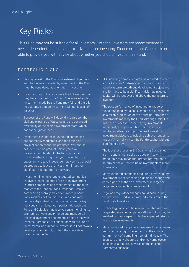# Key Risks

This Fund may not be suitable for all investors. Potential investors are recommended to seek independent financial and tax advice before investing. Please note that Calculus is not able to provide you with advice about whether you should invest in this Fund.

## PORTFOLIO RISKS

- Having regard to the Fund's investment objectives and the tax reliefs available, investment in the Fund must be considered as a long-term investment.
- Investors may not receive back the full amount that they have invested in the Fund. The value of each investment made by the Fund may fall, and there is no guarantee that an investment will not lose all of its value.
- Success of the Fund will depend in part upon the skill and expertise of Calculus and the continued availability of the senior investment team. which cannot be guaranteed.
- Investments in shares in unquoted companies are not readily marketable and the timing of any realisation cannot be predicted. You should not invest in this product unless you have carefully thought about whether you can afford it and whether it is right for you, having had the opportunity to take independent advice. You should be prepared to leave the investment intact for significantly longer than three years.
- Investment in smaller and unquoted companies involves a higher degree of risk than investment in larger companies and those traded on the main market of the London Stock Exchange. Smaller companies generally may have limited product lines, markets or financial resources and may be more dependent on their management or key individuals than larger companies. Although the Fund and Calculus may receive conventional rights granted to private equity funds and managers in the legal investment documents it negotiates with Investee Companies in connection with the Fund's investments, as a minority investor it will not always be in a position to fully protect the interests of Investors in the Fund.
- EIS qualifying companies are also required to meet a "risk to capital" gateway test requiring them to have long term growth and development objectives and for there to be a significant risk that invested capital will be lost over and above the net return to investors.
- The past performance of investments made by funds managed by Calculus should not be regarded as a reliable indication of the future performance of investments made by the Fund. Although Calculus has been successful in identifying investments in the past, it may be unable to find a sufficient number of attractive opportunities to meet its investment objectives, including achievement of its target IRR, or fully invest the Fund's capital without significant delay.
- The fact that shares in EIS Qualifying Companies are, in general, not publicly traded or freely marketable may mean that proper information to determine the current value of investments will not be available.
- Many unquoted companies requiring private equity investment are experiencing significant change and carry higher risk than an investment in larger or longer established businesses would.
- Legal and regulatory changes could occur during the life of the Fund which may adversely affect the Fund or its Investors.
- Technology- or scientific research-related risks may be greater in some companies although this may be justified by the prospect of higher expected returns from those investments.
- Many unquoted companies have small management teams and are highly dependent on the skills and commitment of a small number of individuals. The departure of any directors and/or key employees could have a material adverse on the Investee Company's business.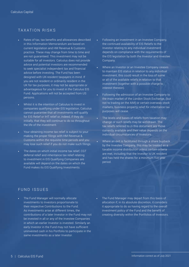## TAXATION RISKS

- Rates of tax, tax benefits and allowances described in this Information Memorandum are based on current legislation and HM Revenue & Customs practice. These may change from time to time and are not guaranteed. This investment may not be suitable for all investors. Calculus does not provide advice and potential investors are recommended to seek specialist independent tax and financial advice before investing. The Fund has been designed with UK-resident taxpayers in mind. If you are not resident or ordinarily resident in the UK for tax purposes, it may not be appropriate or advantageous for you to invest in the Calculus EIS Fund. Applications will not be accepted from US persons.
- Whilst it is the intention of Calculus to invest in companies qualifying under EIS legislation, Calculus cannot guarantee that all investments will qualify for EIS Relief or IHT relief or, indeed, if they do initially, that they will continue to do so throughout the life of the investment.
- Your obtaining income tax relief is subject to your making the proper filings with HM Revenue & Customs within the requisite time periods and you may lose such relief if you do not make such filings.
- The dates on which initial income tax relief, CGT deferral relief and inheritance tax relief relating to investment in EIS Qualifying Companies are available will depend on the dates on which the Fund makes its EIS Qualifying Investments.
- Following an investment in an Investee Company, the continued availability of EIS Reliefs to the Investor relating to any individual investment depends on compliance with the requirements of the EIS legislation by both the Investor and Investee Company.
- Where an Investor or an Investee Company ceases to maintain EIS status in relation to any individual investment, this could result in the loss of some or all of the available reliefs in relation to that investment (together with a possible charge to interest thereon).
- Following the admission of an Investee Company to the main market of the London Stock Exchange, (but not to trading on the AIM) or certain overseas stock markets, business property relief for inheritance tax purposes will cease.
- The levels and bases of reliefs from taxation may change or such reliefs may be withdrawn. The tax reliefs referred to in this document are those currently available and their value depends on the individual circumstances of Investors.
- Where an exit is facilitated through a share buyback by the Investee Company, this may be treated as a taxable income distribution unless certain criteria are met, including that the Investor is UK resident and has held the shares for a minimum five-year period.

### FUND ISSUES

- The Fund Manager will normally allocate investments to Investors proportionate to their respective Contributions to the Fund. As investments arise at different times, the contributions of a later Investor in the Fund may not be invested in all or any of the Investee Companies in which an earlier Investor is invested. Similarly an early Investor in the Fund may not have sufficient uninvested cash in his Portfolio to participate in the same investments as a later Investor.
- The Fund Manager may depart from this basis of allocation if, in its absolute discretion, it considers it appropriate to do so having regard to the overall investment policy of the Fund and the benefit of creating diversity within the Portfolios of Investors.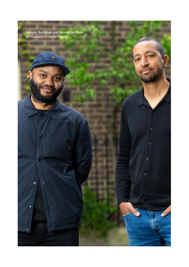Dominic Buchanan and Bennett McGhee Co Founders of Home Team

۰

٠

 $\Omega$ 

ø

 $\mathbf{Q}$ 

c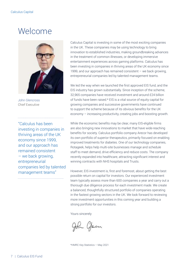# Welcome



John Glencross Chief Executive

"Calculus has been investing in companies in thriving areas of the UK economy since 1999, and our approach has remained consistent – we back growing, entrepreneurial companies led by talented management teams"

Calculus Capital is investing in some of the most exciting companies in the UK. These companies may be using technology to bring innovation to established industries, making groundbreaking advances in the treatment of common illnesses, or developing immersive entertainment experiences across gaming platforms. Calculus has been investing in companies in thriving areas of the UK economy since 1999, and our approach has remained consistent – we back growing, entrepreneurial companies led by talented management teams.

We led the way when we launched the first approved EIS fund, and the EIS industry has grown substantially. Since inception of the scheme, 32,965 companies have received investment and around £24 billion of funds have been raised.\* EIS is a vital source of equity capital for growing companies and successive governments have continued to support the scheme because of its obvious benefits for the UK economy – increasing productivity, creating jobs and boosting growth.

While the economic benefits may be clear, many EIS-eligible firms are also bringing new innovations to market that have wide-reaching benefits for society. Calculus portfolio company Arecor has developed its own portfolio of superior therapeutics, primarily focused on enabling improved treatments for diabetes. One of our technology companies, Rotageek, helps help multi-site businesses manage and schedule staff to meet demand, drive efficiency and reduce costs. The company recently expanded into healthcare, attracting significant interest and winning contracts with NHS hospitals and Trusts.

However, EIS investment is, first and foremost, about getting the best possible return on capital for investors. Our experienced investment team typically assess more than 600 companies a year and carry out a thorough due diligence process for each investment made. We create a balanced, thoughtfully structured portfolio of companies operating in the fastest growing sectors in the UK. We look forward to reviewing more investment opportunities in this coming year and building a strong portfolio for our investors.

Yours sincerely

- Glean

\*HMRC Key Statistics – May 2021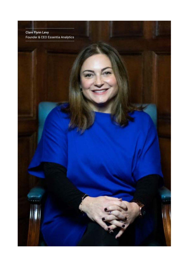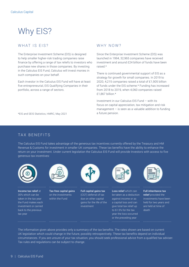# Why EIS?

### WHAT IS EIS?

The Enterprise Investment Scheme (EIS) is designed to help smaller higher-risk trading companies raise finance by offering a range of tax reliefs to investors who purchase new shares in those companies. By investing in the Calculus EIS Fund, Calculus will invest monies in such companies on your behalf.

Each investor in the Calculus EIS Fund will have at least five entrepreneurial, EIS Qualifying Companies in their portfolio, across a range of sectors.

## WHY NOW?

Since the Enterprise Investment Scheme (EIS) was launched in 1994, 32,965 companies have received investment and around £24 billion of funds have been raised.\*

There is continued governmental support of EIS as a strategy for growth for small companies. In 2019 to 2020, 4,215 companies raised a total of £1,905 billion of funds under the EIS scheme.\* Funding has increased from 2018 to 2019, when 4,060 companies raised £1,867 billion.\*

Investment in our Calculus EIS Fund – with its focus on capital appreciation, tax mitigation and risk management  $-$  is seen as a valuable addition to funding a future pension.

\*EIS and SEIS Statistics, HMRC, May 2021

## TAX BENEFITS

The Calculus EIS Fund takes advantage of the generous tax incentives currently offered by the Treasury and HM Revenue & Customs for investment in smaller UK companies. These tax benefits have the ability to enhance the return on your investment. Under current legislation the Calculus EIS Fund will provide Investors with access to five generous tax incentives:



Income tax relief at 30% which can be taken in the tax year the Fund makes each investment or carried back to the previous tax year



Tax-free capital gains on the investments within the Fund



Full capital gains tax (CGT) deferral of tax due on other capital gains for the life of the investment

Loss relief which can be taken as a deduction against income or as a capital loss and can give total tax relief up to 61.5% for the tax year the loss occurred or the preceding year



Full inheritance tax relief provided the investments have been held for two years and are held at time of death

The information given above provides only a summary of the tax benefits. The rates shown are based on current UK legislation which could change in the future, possibly retrospectively. These tax benefits depend on individual circumstances. If you are unsure of your tax situation, you should seek professional advice from a qualified tax adviser. Tax rules and regulations can be subject to change.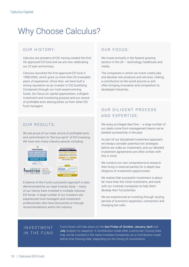# Why Choose Calculus?

### OUR HISTORY:

Calculus are pioneers of EIS, having created the first UK approved EIS fund and we are now celebrating our 22 year anniversary.

Calculus launched the first approved EIS fund in 1999/2000, which gives us more than 20 invaluable years of experience. Since then, we have built a strong reputation as an investor in EIS Qualifying Companies through our multi-award-winning funds. Our focus on capital appreciation, a diligent investment and monitoring process and our record of profitable exits distinguishes us from other EIS fund managers.

### OUR RESULTS'

We are proud of our track record of profitable exits and commitment to "the true spirit" of EIS investing. We have won many industry awards including:



Evidence of the Fund's successful approach is also demonstrated by our loyal investor base – many of our clients have invested in multiple Calculus EIS funds. A large number of our investors are experienced fund managers and investment professionals who have discovered us through recommendations within the industry.

### OUR FOCUS:

We invest primarily in the fastest growing sectors in the UK – technology, healthcare and media.

The companies in which we invest create jobs and develop new products and services, making a contribution to the world around us and often bringing innovation and competition to developed industries.

# OUR DILIGENT PROCESS AND EXPERTISE:

We enjoy privileged deal flow  $-$  a large number of our deals come from management teams we've backed successfully in the past.

As part of our disciplined investment approach, we always consider potential exit strategies before we make an investment, and our detailed investment agreements are often written with this in mind.

We conduct our own comprehensive research then bring in external parties for in-depth due diligence of investment opportunities.

We realise that successful investment is about far more than the initial investment, and work with our investee companies to help them develop their full potential.

We are experienced at investing through varying periods of economic expansion, contraction and changing tax rules.

## **INVESTMENT** IN THE FUND

Fund closes will take place on the last Friday of October, January, April and July (subject to capacity). A Contribution made after a particular Closing Date may not be invested in the same Investee Companies as a Contribution made before that Closing Date, depending on the timing of investments.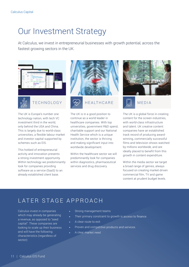# Our Investment Strategy

At Calculus, we invest in entrepreneurial businesses with growth potential, across the fastest growing sectors in the UK.





The UK is Europe's number one technology nation, with tech VC investment third in the world, only behind the USA and China. This is largely due to world-class universities, a flexible labour market and investor capital supported by schemes such as EIS.

This hotbed of entrepreneurial activity and innovation presents a strong investment opportunity. Within technology we predominantly look for companies providing software as a service (SaaS) to an already established client base.



The UK is in a good position to continue as a world leader in healthcare companies. With top universities, government R&D spend, charitable support and our National Health Service which is a unique institution, the sector is thriving and making significant input into worldwide development.

Within the healthcare sector we will predominantly look for companies within diagnostics, pharmaceutical services and drug discovery.





The UK is a global force in creating content for the screen industries, with world-class infrastructure and talent. UK creative content companies have an established track record of producing awardwinning, commercially successful films and television shows watched by millions worldwide, and are ideally placed to benefit from this growth in content expenditure.

Within the media sector we target a broad range of genres, always focused on creating market-driven commercial film, TV and game content at prudent budget levels.

# LATER STAGE APPROACH

Calculus invest in companies which may already be generating a revenue, as opposed to "seed capital". These companies are looking to scale up their business and will have the following characteristics (regardless of sector):

- Strong management teams
- Their primary constraint to growth is access to finance
- A clear route to exit
- Proven and competitive products and services
- A clear market need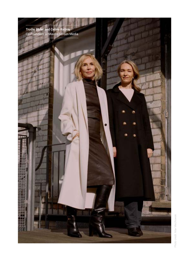.......................... Trudie Styler and Celine Rattray Co Founders of Maven Screen Media

> Photo credit: Max Miechowski Photo credit: Max Miechowski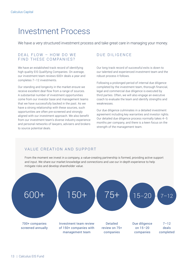# Investment Process

We have a very structured investment process and take great care in managing your money.

### $DFAI$  FLOW – HOW DO WE FIND THESE COMPANIES?

We have an established track record of identifying high quality EIS Qualifying Companies. On average, our investment team reviews 600+ deals a year and completes 7–12 investments.

Our standing and longevity in the market ensure we receive excellent deal flow from a range of sources. A substantial number of investment opportunities come from our investor base and management teams that we have successfully backed in the past. As we have a strong relationship with these sources, such opportunities are often pre-screened and strongly aligned with our investment approach. We also benefit from our investment team's diverse industry experience and personal networks of lawyers, advisers and brokers to source potential deals.

# DUE DILIGENCE

Our long track record of successful exits is down to our talented and experienced investment team and the robust process it follows.

Following a prolonged period of internal due diligence completed by the investment team, thorough financial, legal and commercial due diligence is executed by third parties. Often, we will also engage an executive coach to evaluate the team and identify strengths and weaknesses.

Our due diligence culminates in a detailed investment agreement including key warranties and investor rights. Our detailed due diligence process normally takes 4–5 months per company, and there is a keen focus on the strength of the management team.

## VALUE CREATION AND SUPPORT

From the moment we invest in a company, a value-creating partnership is formed, providing active support and input. We share our market knowledge and connections and use our in-depth experience to help mitigate risks and develop shareholder value.

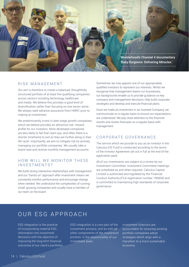

#### RISK MANAGEMENT

Our aim is therefore to create a balanced, thoughtfully structured portfolio of at least five qualifying companies, across sectors including technology, healthcare and media. We believe this provides a good level of diversification rather than focusing on one sector alone. . We always seek advance assurance from HMRC prior to making an investment.

We predominantly invest in later-stage growth companies, which we believe provides an attractive risk–reward profile for our investors. More developed companies are less likely to fail than start-ups, and often there is a shorter timeframe to exit as they are further along in their life cycle. Importantly, we aim to mitigate risk by actively managing our portfolio companies. We usually take a board seat and receive monthly management accounts.

#### HOW WILL WE MONITOR THESE INVESTMENTS?

We build strong interactive relationships with management and our "hands on" approach after investment means we constantly monitor performance and encourage change when needed. We understand the complexities of running small, growing companies and usually have a member of our team on the board.

Sometimes we may appoint one of our appropriately qualified investors to represent our interests. Whilst we recognise that management teams run businesses, our backgrounds enable us to provide guidance on key company and management decisions, help build corporate strategies and develop and execute financial plans.

Once we make an investment in an Investee Company, we communicate on a regular basis to ensure our expectations are understood. We pay close attention to the financial results and review forecasts on a regular basis with management.

## CORPORATE GOVERNANCE

The service which we provide to you as an investor in the Calculus EIS Fund is conducted according to the terms of the Investor Agreement set out in full at the end of the application pack.

All of our investments are subject to a review by our Investment Committee. Investment Committee meetings are scheduled as and when required. Calculus Capital Limited is authorised and regulated by the Financial Conduct Authority (FCA registration number 190854) and is committed to maintaining high standards of corporate governance.

# OUR ESG APPROACH

ESG integration is the practice of incorporating material ESG information into investment decisions with the objective of improving the long-term financial outcomes of our client's portfolios. ESG integration is a core part of the investment process, and as with all other components of the investment process, is the responsibility of our investment team.

Investment Directors are accountable for ensuring existing portfolio companies adopt strategies which align with a transition to a more sustainable economy.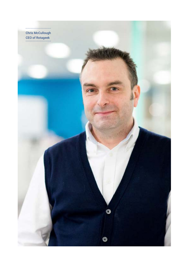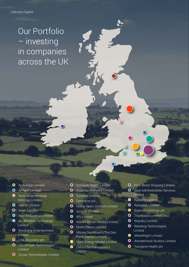# Our Portfolio – investing in companies across the UK

- **O** ActiveOps Limited
- **O** AnTech Limited
- **O** Arcis Biotechnology Holdings Limited
- **O** Arecor Limited
- **O** Avvio Limited
- **O** Axol BioScience Limited
- **O** Blu Wireless Technology Limited
- **O** Brouhaha Entertainment **Limited**
- **O** C4X Discovery plc
- **O** CloudTrade Technologies Limited
- **O** Duvas Technologies Limited
- **O** Econsult Health Limited
- **O** Essentia Analytics Limited
- **O** Evoterra Limited
- **O** Genedrive plc
- **O** Home Team Content Limited
- **O** Invizius Limited
- **O** IPV Limited
- **O** Maven Screen Media Limited
- **O** Maze Theory Limited
- **O** Money Dashboard (The One Place Capital Limited)
- **O** Open Energy Market Limited
- **O** Oxford BioTherapeutics Limited
- **O** Park Street Shipping Limited
- **O** Ouai Administration Services Limited
- **O** Raindog Limited
- **O** Rotageek Limited
- **O** Scancell Holdings plc
- **O** Thanksbox Limited (Mo)
- **O** Wazoku Limited
- **O** Weeding Technologies Limited
- **O** WheelRight Limited
- **O** Wonderhood Studios Limited
- **O** Yourgene Health plc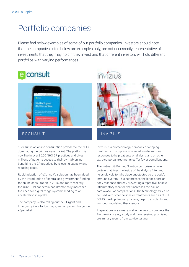# Portfolio companies

Please find below examples of some of our portfolio companies. Investors should note that the companies listed below are examples only, are not necessarily representative of investments that they may hold if they invest and that different investors will hold different portfolios with varying performances.





### E CONSULT ESTABLE THE INVIZIUS

eConsult is an online consultation provider to the NHS, dominating the primary care market. The platform is now live in over 3,200 NHS GP practices and gives millions of patients access to their own GP online, benefiting the GP practices by releasing capacity and reducing costs.

Rapid adoption of eConsult's solution has been aided by the introduction of centralised government funding for online consultation in 2016 and more recently the COVID-19 pandemic has dramatically increased the need for digital triage systems leading to an acceleration in uptake.

The company is also rolling out their Urgent and Emergency Care tool, eTriage, and outpatient triage tool, eSpecialist.





Invizius is a biotechnology company developing treatments to suppress unwanted innate immune responses to help patients on dialysis, and on other extra-corporeal treatments suffer fewer complications.

The H-Guard® Priming Solution comprises a novel protein that lines the inside of the dialysis filter and helps dialysis to take place undetected by the body's immune system. This suppresses the blood's foreign body response, thereby preventing a repetitive, hostile inflammatory reaction that increases the risk of cardiovascular complications. The technology may also be used with other devices or treatments such as CRRT, ECMO, cardiopulmonary bypass, organ transplants and immunomodulating therapeutics.

Preparations are already well underway to complete the First-in-Man safety study and have received promising preliminary results from ex-vivo testing.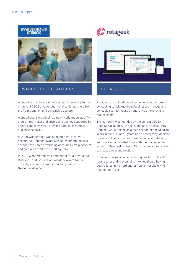



### WONDERHOOD STUDIOS ROTAGEEK

Wonderhood is the creative business founded by former Channel 4 CEO David Abraham and senior partners from the TV production and advertising sectors.

Wonderhood is introducing a new hybrid model as a TV programme maker and advertising agency supported by a third capability which provides data-led insights into audience behaviour.

In 2020 Wonderhood was appointed the creative account to Branston owner Mizkan. Wonderhood also scooped the Three advertising account, SumUp account and continued work with Starling Bank.

In 2021 Wonderhood was nominated for a prestigious Grierson Trust British Documentary Award for its critically acclaimed production '*Baby Surgeons: Delivering Miracles'.* 



Rotageek uses cloud-based technology and automatic scheduling to help multi-site businesses manage and schedule staff to meet demand, drive efficiency and reduce costs.

The company was founded by the current CEO Dr Chris McCullough, CTO Nick Mann and Professor Roy Pounder. Chris trained as a medical doctor spending 16 years in the NHS and 8 years as an Emergency Medicine Physician. The difficulties of managing a shift-based, lean workforce provided Chris with the motivation to establish Rotageek, utilising Nick's technological ability to create a relevant solution.

Rotageek has established a strong position in the UK retail sector and is expanding into healthcare having been piloted in Ashford and St Peter's Hospitals NHS Foundation Trust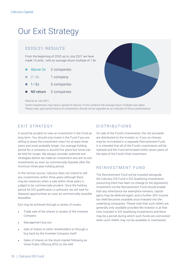# Our Exit Strategy

## 2 0 2 0 / 2 1 R E S U LT S

From the beginning of 2020 up to July 2021 we have made 10 exits, with an average return multiple of 1.9x.

- Above 3x 2 companies
- $\blacksquare$  2–3x 1 company
- $\blacksquare$  1–2x 5 companies
- Nil return 2 companies



Data as at July 2021.

Some investments may have a spread of returns; in this instance the average return multiple was taken. Please note, past performance of investments should not be regarded as an indicator of future performance.

### **FXIT STRATEGY**

It would be prudent to view an investment in the Fund as long term. You should only invest in the Fund if you are willing to leave the investment intact for at least three years and most probably longer. Our average holding period for a company is around five years but some can be held for longer. We always consider potential exit strategies before we make an investment and aim to exit investments as soon as commercially feasible after the minimum three-year holding period.

In the normal course, Calculus does not intend to sell any investments within three years although there may be instances when a sale within three years is judged to be commercially prudent. Once the holding period for EIS qualification is achieved, we will look for disposal opportunities as soon as commercially possible thereafter.

Exit may be achieved through a variety of routes:

- Trade sale of the shares or assets of the Investee Company
- Management buy-out
- Sale of shares to other shareholders or through a buy back by the Investee Company itself
- Sales of shares on the stock market following an Initial Public Offering (IPO) on the AIM

## DISTRIBUTIONS

On sale of the Fund's investments, the net proceeds are distributed to the Investor or, if you so choose, may be re-invested in a separate Reinvestment Fund. It is intended that all of the Fund's investments will be realised and the Fund terminated within seven years of the date of the Fund's final investment.

### REINVESTMENT FUND

The Reinvestment Fund will be invested alongside the Calculus EIS Fund in EIS Qualifying Investments (assuming there has been no change to the legislation). Investment via the Reinvestment Fund should enable that any inheritance tax exemption remains, capital gains may be deferred again, and a further 30% income tax relief becomes available once invested into the underlying companies. Please note that such reliefs are generally only available provided the Investor is at that time invested in EIS Qualifying Investments and there may be a period during which such funds are uninvested when such reliefs may not be available or maintained.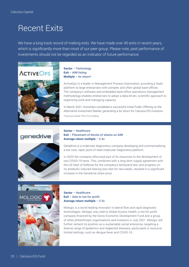# Recent Exits

We have a long track record of making exits. We have made over 40 exits in recent years, which is significantly more than most of our peer group. Please note, past performance of investments should not be regarded as an indicator of future performance.



#### Sector – Technology Exit – AIM listing Multiple – 6x return\*

ActiveOps is a leader in Management Process Automation, providing a SaaS platform to large enterprises with complex and often global back-offices. The company's software and embedded back-office operations management methodology enables enterprises to adopt a data-driven, scientific approach to organising work and managing capacity.

In March 2021, ActiveOps completed a successful Initial Public Offering on the Alternative Investment Market, generating a 6x return for Calculus EIS investors. \*Calculus exited 75% of its holding.



#### Sector – Healthcare Exit – Placement of blocks of shares on AIM Average return multiple – 2.4x

Genedrive is a molecular diagnostics company developing and commercialising a low cost, rapid, point of need molecular diagnostics platform.

In 2020 the company refocused part of its resources to the development of two COVID-19 tests. This, combined with a long term supply agreement with the US Dept of Defense for the company's biohazard test, and progress on its antibiotic induced hearing loss test for neo-natals, resulted in a significant increase in the Genedrive share price.



Sector – Healthcare Exit – Sale to not-for-profit Average return multiple – 2.5x

Mologic is a world leading innovator in lateral flow and rapid diagnostic technologies. Mologic was sold to Global Access Health, a not-for-profit company financed by the Soros Economic Development Fund and a group of other philanthropic organisations and investors in July 2021. Mologic will further cement its position as a sustainable social enterprise, targeting a diverse range of epidemics and neglected diseases, particularly in resourcelimited settings, such as dengue fever and COVID-19.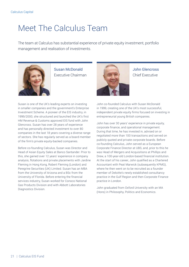# Meet The Calculus Team

The team at Calculus has substantial experience of private equity investment, portfolio management and realisation of investments.



Susan McDonald Executive Chairman



John Glencross Chief Executive

Susan is one of the UK's leading experts on investing in smaller companies and the government's Enterprise Investment Scheme. A pioneer of the EIS industry, in 1999/2000, she structured and launched the UK's first HM Revenue & Customs approved EIS fund with John Glencross. Susan has over 28 years of experience and has personally directed investment to over 80 companies in the last 18 years covering a diverse range of sectors. She has regularly served as a board member of the firm's private equity-backed companies.

Before co-founding Calculus, Susan was Director and Head of Asian Equity Sales at Banco Santander. Prior to this, she gained over 12 years' experience in company analysis, flotations and private placements with Jardine Fleming in Hong Kong, Robert Fleming (London) and Peregrine Securities (UK) Limited. Susan has an MBA from the University of Arizona and a BSc from the University of Florida. Before entering the financial services industry, Susan worked for Conoco National Gas Products Division and with Abbott Laboratories Diagnostics Division.

John co-founded Calculus with Susan McDonald in 1999, creating one of the UK's most successful, independent private equity firms focused on investing in entrepreneurial young British companies.

John has over 30 years' experience in private equity, corporate finance, and operational management. During that time, he has invested in, advised on or negotiated more than 100 transactions and served on publicly quoted and private corporate boards. Before co-founding Calculus, John served as a European Corporate Finance Director at UBS, and, prior to this he was Head of Mergers and Acquisitions at Phillips and Drew, a 100-year-old London-based financial institution. At the start of his career, John qualified as a Chartered Accountant with Peat Marwick (subsequently KPMG), where he then went on to be recruited as a founder member of Deloitte's newly established consultancy practice in the Gulf Region and then Corporate Finance practice in London.

John graduated from Oxford University with an MA (Hons) in Philosophy, Politics and Economics.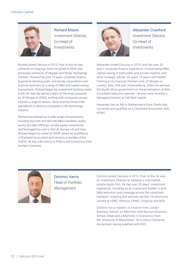

Richard Moore Investment Director, Co-Head of Investments

Richard joined Calculus in 2013. Prior to this he was a Director at Citigroup, which he joined in 2005, and previously worked at JP Morgan and Strata Technology Partners. Richard has over 14 years' corporate finance experience advising public and private corporations and financial sponsors on a range of M&A and capital-raising transactions. Richard began his investment banking career in the UK mid-cap advisory team at Flemings (acquired by JP Morgan in 2000), working with companies across a broad a range of sectors. More recently Richard has specialised in advising companies in the technology industry.

Richard has advised on a wide range of transactions including buy-side and sell-side M&A mandates, public equity and debt offerings, private equity investments and leveraged buy-outs in the UK, Europe, US and Asia. Richard began his career at KPMG where he qualified as a Chartered Accountant, and remains a member of the ICAEW. He has a BA (Hons) in Politics and Economics from Durham University.



Alexander Crawford Investment Director, Co-Head of Investments

Alexander joined Calculus in 2015, and has over 20 years' corporate finance experience, incorporating M&A, capital raising in both public and private markets, and other strategic advice. He spent 10 years with Robert Fleming & Co, Evercore Partners and JP Morgan in London, New York and Johannesburg, where he advised the South Africa government on the privatisation of their incumbent telecoms operator. He was more recently a Managing Director at Pall Mall Capital.

Alexander has an MA in Mathematics from Cambridge University and qualified as a Chartered Accountant with KPMG.



Dominic Harris Head of Portfolio Management

Dominic joined Calculus in 2019. Prior to this he was an Investment Director at Valtegra, a mid-market, private equity firm. He has over 20 years' investment experience, including as an investment banker in both M&A execution and coverage across the industrials, transport, shipping and services sectors. He previously worked at HSBC, Nomura, KPMG, Citigroup and BDO.

Dominic has a master's in Finance from London Business School, an MBA from SDA Bocconi Business School, Milan and a BA(Hons) in Economics from the University of Manchester. He is also a Chartered Accountant having qualified with BDO.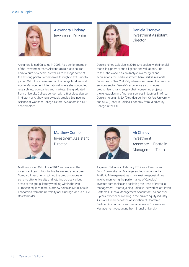

Alexandra Lindsay Investment Director

Alexandra joined Calculus in 2008. As a senior member of the investment team, Alexandra's role is to source and execute new deals, as well as to manage some of the existing portfolio companies through to exit. Prior to joining Calculus, she worked on the hedge fund team at Apollo Management International where she conducted research into companies and markets. She graduated from University College London with a first class degree in History of Art having previously studied Engineering Science at Wadham College, Oxford. Alexandra is a CFA charterholder.



Daniela Tsoneva Investment Assistant **Director** 

Daniela joined Calculus in 2016. She assists with financial modelling, primary due diligence and valuations. Prior to this, she worked as an Analyst in a mergers and acquisitions focused investment bank Berkshire Capital Securities in New York City where she covered the financial services sector. Daniela's experience also includes product launch and supply chain consulting projects in the renewables and financial services industries in Africa. Daniela holds an MBA (Dist) degree from Oxford University and a BA (Hons) in Political Economy from Middlebury College in the US.



Matthew Connor Investment Assistant **Director** 



Ali Chinoy Investment Associate – Portfolio Management Team

Matthew joined Calculus in 2017 and works in the investment team. Prior to this, he worked at Aberdeen Standard Investments, joining the group's graduate scheme after university and rotating across various areas of the group, latterly working within the Pan-European equities team. Matthew holds an MA (Hons) in Economics from the University of Edinburgh, and is a CFA Charterholder.

Ali joined Calculus in February 2019 as a Finance and Fund Administration Manager and now works in the Portfolio Management team. His main responsibilities involve monitoring the performance of Calculus' investee companies and assisting the Head of Portfolio Management. Prior to joining Calculus, he worked at Cinven Partners LLP as a Management Accountant. Ali has over 5 years' experience working in the private equity industry. Ali is a full member of the Association of Chartered Certified Accountants and has a degree in Business and Management Accounting from Brunel University.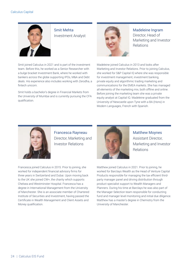

Smit Mehta Investment Analyst

Smit joined Calculus in 2021 and is part of the investment team. Before this, he worked as a Senior Researcher with a bulge bracket Investment Bank, where he worked with bankers across the globe supporting IPOs, M&A and Debt deals. His experience also includes working with Zerodha, a fintech unicorn.

Smit holds a bachelor's degree in Financial Markets from the University of Mumbai and is currently pursuing the CFA qualification.



Madeleine Ingram Director, Head of Marketing and Investor Relations

Madeleine joined Calculus in 2013 and looks after Marketing and Investor Relations. Prior to joining Calculus, she worked for S&P Capital IQ where she was responsible for investment management, investment banking, private equity and algorithmic trading marketing and communications for the EMEA markets. She has managed all elements of the marketing mix, both offline and online. Before joining the marketing team she was a private equity analyst at Capital IQ. Madeleine graduated from the University of Newcastle upon Tyne with a BA (Hons) in Modern Languages, French with Spanish.



Francesca Rayneau Director, Marketing and Investor Relations



Matthew Moynes Assistant Director, Marketing and Investor Relations

Francesca joined Calculus in 2015. Prior to joining, she worked for independent financial advisory firms for three years in Switzerland and Dubai. Upon moving back to the UK she joined CW+, the charity which supports Chelsea and Westminster Hospital. Francesca has a degree in International Management from the University of Manchester. She is an associate member of Chartered Institute of Securities and Investment, having passed the Certificate in Wealth Management and Client Assets and Money qualification.

Matthew joined Calculus in 2021. Prior to joining, he worked for Barclays Wealth as the Head of Venture Capital Products responsible for managing the tax efficient thirdparty manager panel and driving distribution through product specialist support to Wealth Managers and Planners. During his time at Barclays he was also part of the Manager Selection team responsible for conducting fund and manager level monitoring and initial due diligence. Matthew has a master's degree in Chemistry from the University of Manchester.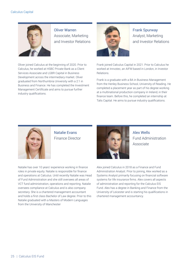

Oliver Warren Associate, Marketing and Investor Relations

Oliver joined Calculus at the beginning of 2020. Prior to Calculus, he worked at HSBC Private Bank as a Client Services Associate and LGBR Capital in Business Development across the intermediary market. Oliver graduated from Northumbria University with a 2:1 in Business and Finance. He has completed the Investment Management Certificate and aims to pursue further industry qualifications.



Frank Spurway Analyst, Marketing and Investor Relations

Frank joined Calculus Capital in 2021. Prior to Calculus he worked at Innvotec, an AIFM based in London, in Investor Relations.

Frank is a graduate with a BA in Business Management from the Henley Business School, University of Reading. He completed a placement year as part of his degree working at a multinational production company in Ireland, in their finance team. Before this, he completed an internship at Talis Capital. He aims to pursue industry qualifications.



Natalie Evans Finance Director

Alex Wells Fund Administration Associate

Alex joined Calculus in 2018 as a Finance and Fund Administration Analyst. Prior to joining, Alex worked as a Systems Analyst primarily focusing on financial software systems for life insurance firms. Alex covers all aspects of administration and reporting for the Calculus EIS Fund. Alex has a degree in Banking and Finance from the University of Leicester and is starting his qualifications in chartered management accountancy.

Natalie has over 10 years' experience working in finance roles in private equity. Natalie is responsible for finance and operations at Calculus. Until recently Natalie was Head of Fund Administration and she still oversees all areas of VCT fund administration, operations and reporting. Natalie oversees compliance at Calculus and is also company secretary. She is a chartered management accountant and holds a first class Bachelor of Law degree. Prior to this Natalie graduated with a Masters of Modern Languages from the University of Manchester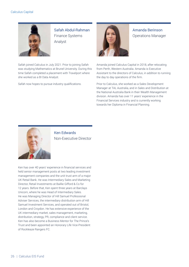

Safah Abdul-Rahman Finance Systems Analyst

Safah joined Calculus in July 2021. Prior to joining Safah was studying Mathematics at Brunel University. During this time Safah completed a placement with Travelport where she worked as a BI Data Analyst.

Safah now hopes to pursue industry qualifications.



Amanda Berinson Operations Manager

Amanda joined Calculus Capital in 2018, after relocating from Perth, Western Australia. Amanda is Executive Assistant to the directors of Calculus, in addition to running the day to day operations of the firm.

Prior to Calculus, she worked as a Sales Development Manager at TAL Australia, and in Sales and Distribution at the National Australia Bank in their Wealth Management division. Amanda has over 11 years' experience in the Financial Services industry and is currently working towards her Diploma in Financial Planning.



Ken Edwards Non-Executive Director

Ken has over 40 years' experience in financial services and held senior management posts at two leading investment management companies and the unit trust arm of a major UK Retail Bank. He was Intermediary Sales and Marketing Director, Retail Investments at Baillie Gifford & Co for 12 years. Before that, Ken spent three years at Barclays Unicorn, where he was Head of Intermediary Sales. He was Managing Director of Hill Samuel Professional Adviser Services, the intermediary distribution arm of Hill Samuel Investment Services, and operated out of Bristol, London and Croydon. He has extensive experience of the UK intermediary market, sales management, marketing, distribution, strategy, PR, compliance and client service. Ken has also become a Business Mentor for The Prince's Trust and been appointed an Honorary Life Vice-President of Rockleaze Rangers FC.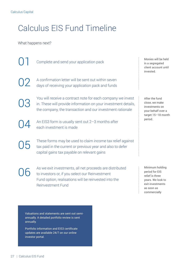# Calculus EIS Fund Timeline

What happens next?

Complete and send your application pack  $\overline{02}$  A confirmation letter will be sent out within seven<br>days of receiving your application pack and funds days of receiving your application pack and funds You will receive a contract note for each company we invest<br>in. These will provide information on your investment details,<br>the company the transaction and our investment rationals in. These will provide information on your investment details, the company, the transaction and our investment rationale An EIS3 form is usually sent out  $2-3$  months after each investment is made  $\overline{\text{O5}}$  These forms may be used to claim income tax relief against<br>tax paid in the current or previous year and also to defer capital gains tax payable on relevant gains As we exit investments, all net proceeds are distributed to investors or, if you select our Reinvestment Fund option, realisations will be reinvested into the Reinvestment Fund Monies will be held in a segregated client account until invested. After the fund close, we make investments on your behalf over a target 15–18 month period. Minimum holding period for EIS relief is three years. We look to exit investments as soon as commercially

Valuations and statements are sent out semiannually. A detailed portfolio review is sent annually.

Portfolio information and EIS3 certificate updates are available 24/7 on our online investor portal.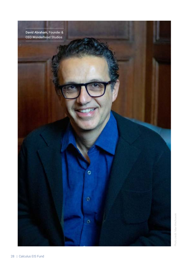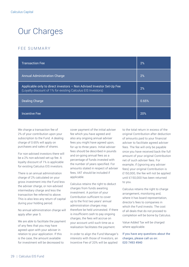# Our Charges

## FEE SUMMARY

| <b>Transaction Fee</b>                                                                                                                | 2%    |
|---------------------------------------------------------------------------------------------------------------------------------------|-------|
| <b>Annual Administration Charge</b>                                                                                                   | 2%    |
| Applicable only to direct investors - Non Advised Investor Set-Up Fee<br>(Loyalty discount of 1% for existing Calculus EIS Investors) | 2%    |
| <b>Dealing Charge</b>                                                                                                                 | 0.65% |
| <b>Incentive Fee</b>                                                                                                                  | 20%   |

We charge a transaction fee of 2% of your contribution upon your subscription to the Fund. A dealing charge of 0.65% will apply on purchases and sales of shares.

For non-advised investors there will be a 2% non-advised set-up fee. A loyalty discount of 1% is applicable for existing Calculus EIS investors.

There is an annual administration charge of 2% calculated on your gross investment into the Fund less the adviser charge, or non-advised intermediary charge and less the transaction fee referred to above. This is also less any return of capital during your holding period.

No annual administration charge will apply after year 5.

We are able to facilitate the payment of any fees that you may have agreed upon with your adviser in relation to your application. If this is the case, the amount available for investment will be decreased to

cover payment of the initial adviser fee which you have agreed and also any ongoing annual adviser fees you might have agreed upon, for up to three years. Initial adviser fees should be described in pounds and on-going annual fees as a percentage of funds invested with the number of years specified. For amounts stated in respect of adviser fees, VAT should be included if applicable.

Calculus retains the right to deduct charges from funds awaiting investment. A portion of your Contribution sufficient to cover up to the first two years' annual administration charges may therefore be held uninvested. If there is insufficient cash to pay ongoing charges, the fees will accrue on your account until such time as a realisation facilitates the payment.

In order to align the Fund Manager's interests with those of Investors, an Incentive Fee of 20% will be applied

to the total return in excess of the original Contribution after deduction of amounts paid to your financial adviser to facilitate agreed adviser fees. The fee will only be payable once you have received back the full amount of your original Contribution net of such adviser fees. For example, if (ignoring any adviser fees) your original Contribution is £150,000, the fee will not be applied until £150,000 has been returned to you.

Calculus retains the right to charge arrangement, monitoring and, where it has board representation, director's fees to companies in which the Fund invests. The cost of all deals that do not proceed to completion will be borne by Calculus.

Value Added Tax will be charged where applicable.

If you have any questions about the charges, please call us on: 020 7493 4940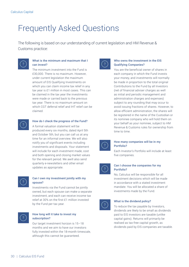# Frequently Asked Questions

The following is based on our understanding of current legislation and HM Revenue & Customs practice:



#### What is the minimum and maximum that I can invest?

The minimum investment into the Fund is £30,000. There is no maximum. However, under current legislation the maximum amount of EIS Qualifying Investments on which you can claim income tax relief in any tax year is £1 million in most cases. This can be claimed in the tax year the investments were made or carried back to the previous tax year. There is no maximum amount on which CGT deferral relief and IHT relief can be claimed.



#### How do I check the progress of the Fund?

A formal valuation statement will be produced every six months, dated April 5th and October 5th, but you can call us at any time for an informal overview. We will also notify you of significant events including investments and disposals. Your statement will include for each investment made, cost and both opening and closing market values for the relevant period. We awill also send quarterly e-newsletters and other email updates as appropriate.



#### Can I own my investment jointly with my spouse?

Investments via the Fund cannot be jointly owned, but each spouse can make a separate investment, and each can receive income tax relief at 30% on the first £1 million invested by the Fund per tax year.



#### How long will it take to invest my subscription?

Our target investment horizon is 15–18 months and we aim to have our investors fully invested within the 18-month timescale, although this cannot be guaranteed.



#### Who owns the investment in the EIS Qualifying Companies?

You are the beneficial owner of shares in each company in which the Fund invests your money, and investments will normally be made in proportion to the total original Contributions to the Fund by all Investors (net of financial adviser charges as well as initial and periodic management and administration charges and expenses) subject to any rounding that may occur to avoid issuing fractions of shares. However, to allow efficient administration, the shares will be registered in the name of the Custodian or its nominee company who will hold them on your behalf as your nominee, subject to HM Revenue & Customs rules for ownership from time to time.



#### How many companies will be in my Portfolio?

Each Investor's Portfolio will include at least five companies.



#### Can I choose the companies for my Portfolio?

No, Calculus will be responsible for all investment decisions which will be made in accordance with a stated investment mandate. You will be allocated a share of investments made by the Fund.



#### What is the dividend policy?

To reduce the tax payable by Investors, dividends are likely to be small as dividends paid to EIS investors are taxable (unlike capital gains). Returns will primarily be realised as tax-free capital growth, as dividends paid by EIS companies are taxable.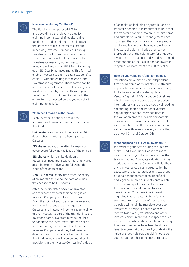

#### How can I claim my Tax Relief?

The Fund is an unapproved EIS Fund and accordingly the relevant dates for claiming income tax relief, capital gains tax deferral and inheritance tax reliefs are the dates we make investments into the underlying Investee Companies. Although investments will be managed in common, your investments will not be pooled with investments made by other Investors. Investors will receive an EIS3 form following each EIS Qualifying Investment. This form will enable Investors to claim certain tax benefits earlier – without waiting for the end of the investment programme. These forms can be used to claim both income and capital gains tax deferral relief by sending them to your tax office. You do not need to wait until the entire Fund is invested before you can start claiming tax reliefs.

#### When can I make a withdrawal?

Each Investor is entitled to make the following withdrawals from their Portfolio in the Fund:

Uninvested cash: at any time provided 20 days' notice in writing has been given to Calculus.

EIS shares: at any time after the expiry of seven years following the issue of the shares:

EIS shares which can be dealt on a recognised investment exchange: at any time after the expiry of five years following the issue of the shares; and

Non-EIS shares: at any time after the expiry of six months following the date on which they ceased to be EIS shares.

After the expiry dates above, an Investor can request to transfer their holding in an Investee Company into their own name. From the point of such transfer, the relevant holding will no longer be managed by Calculus and instead will be the responsibility of the Investor. As part of the transfer into the Investor's name, investors may be required to adhere to the investment, shareholder or subscription agreement applicable to the Investee Company as if they had invested directly in such company rather than through the Fund. Investors will also be bound by the provisions in the Investee Companies' articles of association including any restrictions on transfer of shares. It is important to note that the transfer of shares into an Investor's name and outside of Calculus' management does not mean that such shares will be any more readily realisable than they were previously. Investors should familiarise themselves thoroughly with the risk factors for unquoted investments on pages 4 and 5 and you should note that one of the risks is that an Investor may find his investment difficult to realise.

#### How do you value portfolio companies?

Valuations are audited by an independent firm of Chartered Accountants. Investments in portfolio companies are valued according to the International Private Equity and Venture Capital (IPEV) Valuation Guidelines which have been adopted as best practice internationally and are endorsed by all leading accounting bodies and national venture capital organisations. Methods used in the valuation process include comparable company and transaction analysis as well as discounted cash flow models. We share valuations with investors every six months, as at April 5th and October 5th.

#### What happens if I die while invested? In

the event of your death during the lifetime of the Fund, Calculus will cease to make investments on your behalf as soon as the team is notified. A probate valuation will be produced on request. Calculus will distribute any uninvested cash as instructed by the executors of your estate less any expenses or unpaid management fees. Beneficial and legal ownership of investments which have become quoted will be transferred to your executor and then on to your beneficiaries. Your beneficial interest in unquoted investments will transfer via your executor to your beneficiaries, and Calculus will retain its mandate over such investments and your beneficiaries will receive twice-yearly valuations and other investor communications in respect of such investments. Where shares in the underlying Investee Companies have been held for at least two years at the time of your death, the value of these holdings should fall outside your estate for inheritance tax purposes.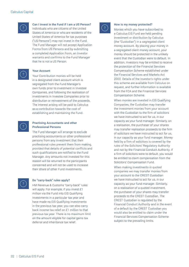

#### Can I invest in the Fund if I am a US Person?

Individuals who are citizens of the United States of America or who are residents of the United States of America for tax purposes ("US Persons") may not invest in the Fund. The Fund Manager will not accept Application Forms from US Persons and by submitting a completed Application Form, an Investor warrants and confirms to the Fund Manager that he is not a US Person.

#### Your Account

Your Contribution monies will be held in a designated client account which is segregated from the Fund Manager's own funds prior to investment in Investee Companies, and following the realisation of investments in Investee Companies prior to distribution or reinvestment of the proceeds. The interest arising will be paid to Calculus as a contribution towards the cost of establishing and maintaining the Fund.



#### Practising Accountants and other Professional Persons

The Fund Manager will arrange to exclude practising accountants or other professional persons from any investment that their professional rules prevent them from making, provided that details of potential conflicts and such qualifications are notified to the Fund Manager. Any amounts not invested for this reason will be returned to the participants concerned and will not be used to increase their share of other Fund investments.



#### Do "carry-back" rules apply?

HM Revenue & Customs "carry-back" rules will apply. For example, if you invest £1 million via the Fund into EIS Qualifying Investments in a particular tax year and have made no EIS Qualifying Investments in the previous tax year, you can also carry back income tax relief on £1 million to that previous tax year. There is no maximum limit on the amount eligible for capital gains tax deferral and inheritance tax relief.



#### How is my money protected?

Monies which you have subscribed to a Calculus EIS Fund are held pending investment or distribution by Calculus (the "Custodian") in a segregated client money account. By placing your money in a segregated client money account, your money should be protected in the unlikely event that the Custodian were to default. In addition, Investors may be entitled to receive the protection of the Financial Services Compensation Scheme established under the Financial Services and Markets Act 2000. Details of the Investor's rights under this scheme are available from Calculus on request, and further information is available from the FCA and the Financial Services Compensation Scheme.

When monies are invested in EIS Qualifying Companies, the Custodian may transfer the investment monies from your account with the Custodian to the firm of solicitors we have instructed to act for us, in our capacity as your fund manager. Similarly, on a realisation, the purchaser of your shares may transfer realisation proceeds to the firm of solicitors we have instructed to act for us, in our capacity as your fund manager. Money held by a firm of solicitors is covered by the rules of the Solicitors' Regulatory Authority and not by the Financial Conduct Authority. If a firm of solicitors were to default, you would be entitled to claim compensation from the Solicitors' Compensation Fund.

When making investments in quoted companies we may transfer monies from your account to the CREST Custodian we have instructed to act for us, in our capacity as your fund manager. Similarly, on a realisation of a quoted investment, the purchaser of your shares may transfer proceeds to the CREST Custodian. The CREST Custodian is regulated by the Financial Conduct Authority and in the event of a default by the CREST Custodian you would also be entitled to claim under the Financial Services Compensation Scheme subject to the prevailing limits.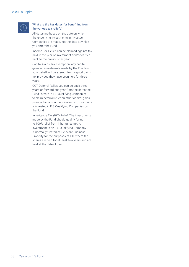

#### What are the key dates for benefiting from the various tax reliefs?

All dates are based on the date on which the underlying investments in Investee Companies are made, not the date at which you enter the Fund.

Income Tax Relief: can be claimed against tax paid in the year of investment and/or carried back to the previous tax year.

Capital Gains Tax Exemption: any capital gains on investments made by the Fund on your behalf will be exempt from capital gains tax provided they have been held for three years.

CGT Deferral Relief: you can go back three years or forward one year from the dates the Fund invests in EIS Qualifying Companies to claim deferral relief on other capital gains provided an amount equivalent to those gains is invested in EIS Qualifying Companies by the Fund.

Inheritance Tax (IHT) Relief: The investments made by the Fund should qualify for up to 100% relief from inheritance tax. An investment in an EIS Qualifying Company is normally treated as Relevant Business Property for the purposes of IHT where the shares are held for at least two years and are held at the date of death.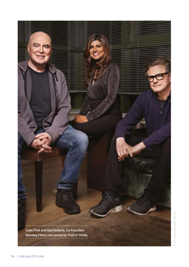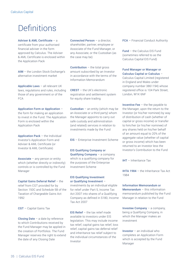# **Definitions**

Adviser & AML Certificate – a certificate from your authorised financial adviser in the form approved by Calculus. The Adviser & AML Certificate is enclosed within the Application Pack

AIM – the London Stock Exchange's alternative investment market

Applicable Laws – all relevant UK laws, regulations and rules, including those of any government or of the FCA

Application Form or Application – the form for making an application to invest in the Fund. The Application Form is enclosed within the Application Pack

**Application Pack**  $-$  the Individual Investor's Application Form and Adviser & AML Certificate (or Investor & AML Certificate)

Associate – any person or entity which (whether directly or indirectly) controls or is controlled by the Fund Manager

Capital Gains Deferral Relief – the relief from CGT provided for by Section 150C and Schedule 5B of the Taxation of Chargeable Gains Act 1992

CGT – Capital Gains Tax

**Closing Date**  $-$  a date by reference to which Contributions received by the Fund Manager may be applied in the creation of Portfolios. The Fund Manager reserves the right to extend the date of any Closing Date

Connected Person – a director, shareholder, partner, employee or Associate of the Fund Manager, or any Associate, or the Custodian (as the case may be)

**Contribution**  $-$  the total gross amount subscribed by an Investor in accordance with the terms of the Information Memorandum

CREST – the UK's electronic registration and settlement system for equity share trading

**Custodian** – an entity (which may be an Associate or a third party) whom the Manager appoints to carry out safe custody and administration (and related) services in relation to investments made by the Fund

EIS – Enterprise Investment Scheme

#### EIS Qualifying Company or

Qualifying Company – a company which is a qualifying company for the purposes of the Enterprise Investment Scheme

#### EIS Qualifying Investment or Qualifying Investment –

investments by an individual eligible for relief under Part 5, Income Tax Act 2007 into shares of a Qualifying Company as defined in S180, Income Tax Act 2007

**EIS Relief**  $-$  the tax relief made available to investors under EIS legislation. This may include income tax relief, capital gains tax relief, loss relief, capital gains tax deferral relief and inheritance tax relief subject to the individual circumstances of the Investor

FCA – Financial Conduct Authority

Fund – the Calculus EIS Fund (sometimes referred to as the Calculus Capital EIS Fund)

#### Fund Manager or Manager or Calculus Capital or Calculus –

Calculus Capital Limited (registered in England and Wales under company number 3861194) whose registered office is 104 Park Street, London, W1K 6NF

**Incentive Fee**  $-$  the fee payable to the Manager, upon the return to the Investor (or his/her nominee) by way of distribution of cash (whether of capital or gross income) or transfer to him/her (or his/her nominee) of any shares held on his/her behalf of an amount equal to 20% of the aggregate value (whether of capital or gross income) which has been returned to an Investor less the Investor's Contribution to the Fund

IHT – Inheritance Tax

IHTA 1984 – the Inheritance Tax Act 1984

#### Information Memorandum or

Memorandum – this information memorandum published by the Fund Manager in relation to the Fund

Investee Company – a company, being a Qualifying Company, in which the Manager makes an investment

Investor – an individual who completes an Application Form which is accepted by the Fund Manager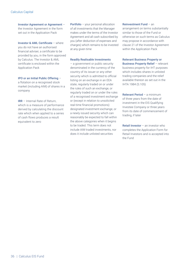Investor Agreement or Agreement – the Investor Agreement in the form set out in the Application Pack

Investor & AML Certificate – where you do not have an authorised financial adviser, a certificate to be provided by you, in the form approved by Calculus. The Investor & AML certificate is enclosed within the Application Pack

#### IPO or an Initial Public Offering –

a flotation on a recognised stock market (including AIM) of shares in a company

IRR – Internal Rate of Return, which is a measure of performance derived by calculating the discount rate which when applied to a series of cash flows produces a result equivalent to zero

Portfolio – your personal allocation of all investments that the Manager makes under the terms of the Investor Agreement and all cash subscribed by you (after deduction of expenses and charges) which remains to be invested at any given time

#### Readily Realisable Investments

– a government or public security denominated in the currency of the country of its issuer or any other security which is admitted to official listing on an exchange in an EEA state, regularly traded on or under the rules of such an exchange, or regularly traded on or under the rules of a recognised investment exchange or (except in relation to unsolicited real-time financial promotions) designated investment exchange, or a newly issued security which can reasonably be expected to fall within the above categories when it begins to be traded. This term does not include AIM traded investments, nor does it include unlisted securities

Reinvestment Fund – an

arrangement on terms substantially similar to those of the Fund or otherwise on such terms as Calculus may propose in accordance with clause 21 of the Investor Agreement within the Application Pack

Relevant Business Property or Business Property Relief - relevant business property for IHT purposes which includes shares in unlisted trading companies and the relief available thereon as set out in the IHTA 1984 (S.105)

Relevant Period – a minimum of three years from the date of investment in the EIS Qualifying Investee Company or three years from its date of commencement of trading, if later

Retail Investor – an investor who completes the Application Form for Retail Investors and is accepted into the Fund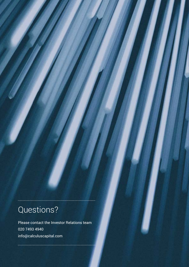# Questions?

Please contact the Investor Relations team 020 7493 4940 info@calculuscapital.com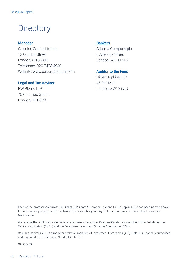# **Directory**

### Manager

Calculus Capital Limited 12 Conduit Street London, W1S 2XH Telephone: 020 7493 4940 Website: www.calculuscapital.com

#### Legal and Tax Adviser

RW Blears LLP 70 Colombo Street London, SE1 8PB

### **Bankers**

Adam & Company plc 6 Adelaide Street London, WC2N 4HZ

Auditor to the Fund

Hillier Hopkins LLP 45 Pall Mall London, SW1Y 5JG

Each of the professional firms: RW Blears LLP, Adam & Company plc and Hillier Hopkins LLP has been named above for information purposes only and takes no responsibility for any statement or omission from this Information Memorandum.

We reserve the right to change professional firms at any time. Calculus Capital is a member of the British Venture Capital Association (BVCA) and the Enterprise Investment Scheme Association (EISA).

Calculus Capital's VCT is a member of the Association of Investment Companies (AIC). Calculus Capital is authorised and regulated by the Financial Conduct Authority.

CALC2200